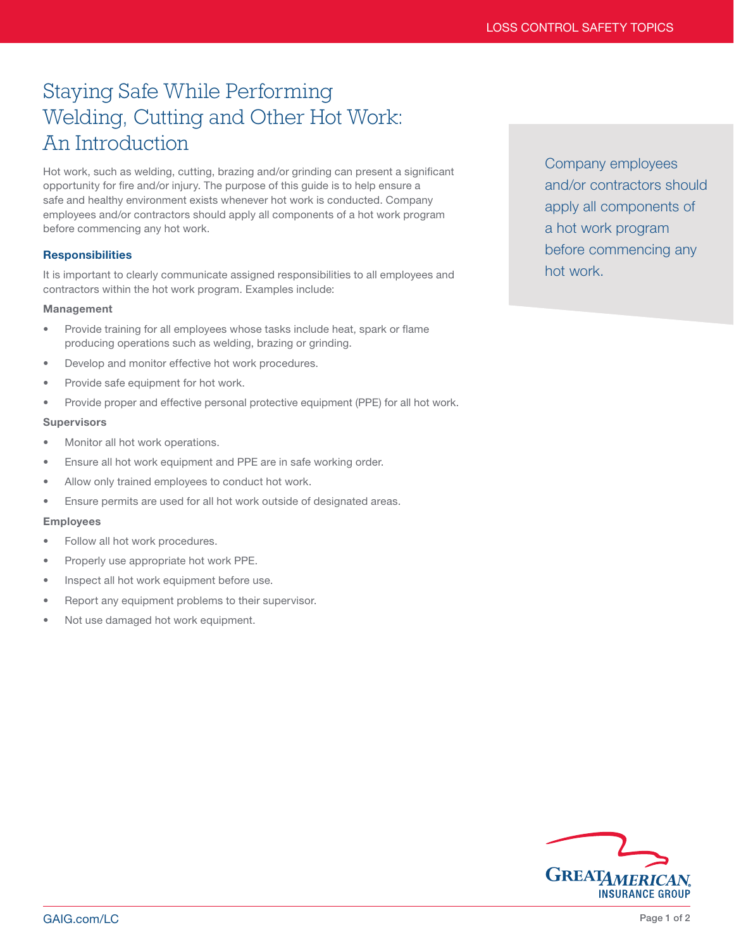# Staying Safe While Performing Welding, Cutting and Other Hot Work: An Introduction

Hot work, such as welding, cutting, brazing and/or grinding can present a significant opportunity for fire and/or injury. The purpose of this guide is to help ensure a safe and healthy environment exists whenever hot work is conducted. Company employees and/or contractors should apply all components of a hot work program before commencing any hot work.

# **Responsibilities**

It is important to clearly communicate assigned responsibilities to all employees and contractors within the hot work program. Examples include:

### Management

- Provide training for all employees whose tasks include heat, spark or flame producing operations such as welding, brazing or grinding.
- Develop and monitor effective hot work procedures.
- Provide safe equipment for hot work.
- Provide proper and effective personal protective equipment (PPE) for all hot work.

## **Supervisors**

- Monitor all hot work operations.
- Ensure all hot work equipment and PPE are in safe working order.
- Allow only trained employees to conduct hot work.
- Ensure permits are used for all hot work outside of designated areas.

### Employees

- Follow all hot work procedures.
- Properly use appropriate hot work PPE.
- Inspect all hot work equipment before use.
- Report any equipment problems to their supervisor.
- Not use damaged hot work equipment.

Company employees and/or contractors should apply all components of a hot work program before commencing any hot work.